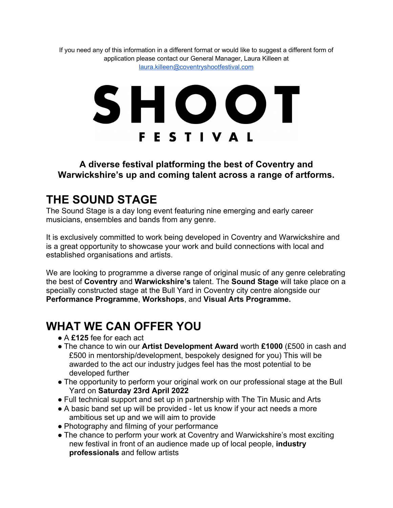If you need any of this information in a different format or would like to suggest a different form of application please contact our General Manager, Laura Killeen at laura.killeen@coventryshootfestival.com

# SHOOT **FESTIVAL**

#### **A diverse festival platforming the best of Coventry and Warwickshire's up and coming talent across a range of artforms.**

#### **THE SOUND STAGE**

The Sound Stage is a day long event featuring nine emerging and early career musicians, ensembles and bands from any genre.

It is exclusively committed to work being developed in Coventry and Warwickshire and is a great opportunity to showcase your work and build connections with local and established organisations and artists.

We are looking to programme a diverse range of original music of any genre celebrating the best of **Coventry** and **Warwickshire's** talent. The **Sound Stage** will take place on a specially constructed stage at the Bull Yard in Coventry city centre alongside our **Performance Programme**, **Workshops**, and **Visual Arts Programme.**

### **WHAT WE CAN OFFER YOU**

- A **£125** fee for each act
- The chance to win our **Artist Development Award** worth **£1000** (£500 in cash and £500 in mentorship/development, bespokely designed for you) This will be awarded to the act our industry judges feel has the most potential to be developed further
- The opportunity to perform your original work on our professional stage at the Bull Yard on **Saturday 23rd April 2022**
- Full technical support and set up in partnership with The Tin Music and Arts
- A basic band set up will be provided let us know if your act needs a more ambitious set up and we will aim to provide
- Photography and filming of your performance
- The chance to perform your work at Coventry and Warwickshire's most exciting new festival in front of an audience made up of local people, **industry professionals** and fellow artists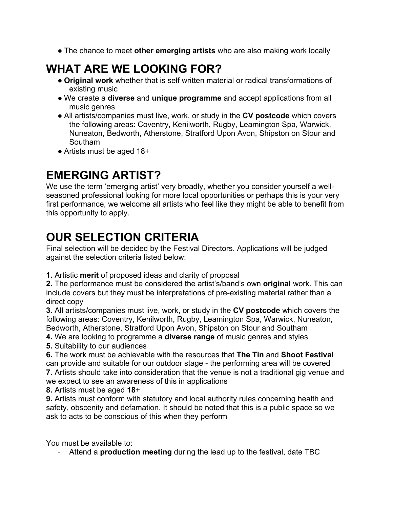● The chance to meet **other emerging artists** who are also making work locally

## **WHAT ARE WE LOOKING FOR?**

- **Original work** whether that is self written material or radical transformations of existing music
- We create a **diverse** and **unique programme** and accept applications from all music genres
- All artists/companies must live, work, or study in the **CV postcode** which covers the following areas: Coventry, Kenilworth, Rugby, Leamington Spa, Warwick, Nuneaton, Bedworth, Atherstone, Stratford Upon Avon, Shipston on Stour and Southam
- Artists must be aged 18+

#### **EMERGING ARTIST?**

We use the term 'emerging artist' very broadly, whether you consider yourself a wellseasoned professional looking for more local opportunities or perhaps this is your very first performance, we welcome all artists who feel like they might be able to benefit from this opportunity to apply.

#### **OUR SELECTION CRITERIA**

Final selection will be decided by the Festival Directors. Applications will be judged against the selection criteria listed below:

**1.** Artistic **merit** of proposed ideas and clarity of proposal

**2.** The performance must be considered the artist's/band's own **original** work. This can include covers but they must be interpretations of pre-existing material rather than a direct copy

**3.** All artists/companies must live, work, or study in the **CV postcode** which covers the following areas: Coventry, Kenilworth, Rugby, Leamington Spa, Warwick, Nuneaton, Bedworth, Atherstone, Stratford Upon Avon, Shipston on Stour and Southam

**4.** We are looking to programme a **diverse range** of music genres and styles

**5.** Suitability to our audiences

**6.** The work must be achievable with the resources that **The Tin** and **Shoot Festival** can provide and suitable for our outdoor stage - the performing area will be covered **7.** Artists should take into consideration that the venue is not a traditional gig venue and

we expect to see an awareness of this in applications

**8.** Artists must be aged **18**+

**9.** Artists must conform with statutory and local authority rules concerning health and safety, obscenity and defamation. It should be noted that this is a public space so we ask to acts to be conscious of this when they perform

You must be available to:

- Attend a **production meeting** during the lead up to the festival, date TBC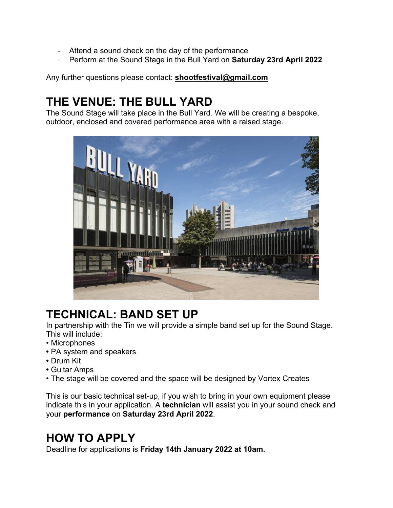- Attend a sound check on the day of the performance
- Perform at the Sound Stage in the Bull Yard on **Saturday 23rd April 2022**

Any further questions please contact: **shootfestival@gmail.com**

### **THE VENUE: THE BULL YARD**

The Sound Stage will take place in the Bull Yard. We will be creating a bespoke, outdoor, enclosed and covered performance area with a raised stage.



### **TECHNICAL: BAND SET UP**

In partnership with the Tin we will provide a simple band set up for the Sound Stage. This will include:

- Microphones
- PA system and speakers
- Drum Kit
- Guitar Amps
- The stage will be covered and the space will be designed by Vortex Creates

This is our basic technical set-up, if you wish to bring in your own equipment please indicate this in your application. A **technician** will assist you in your sound check and your **performance** on **Saturday 23rd April 2022**.

### **HOW TO APPLY**

Deadline for applications is **Friday 14th January 2022 at 10am.**